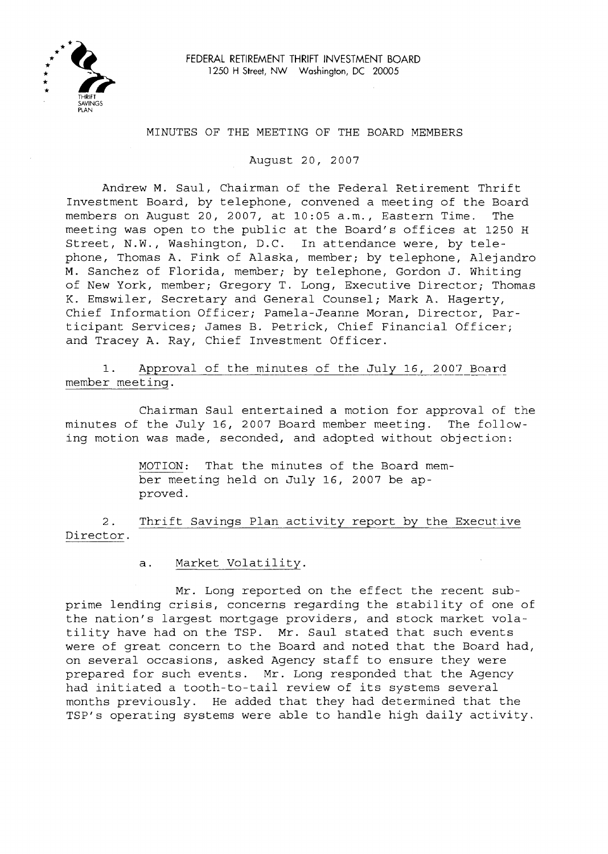

## MINUTES OF THE MEETING OF THE BOARD MEMBERS

August 20, 2007

Andrew M. Saul, Chairman of the Federal Retirement Thrift Investment Board, by telephone, convened a meeting of the Board members on August 20, 2007, at 10:05 a.m., Eastern Time. The meeting was open to the public at the Board's offices at 1250 <sup>H</sup> Street, N.W., Washington, D.C. In attendance were, by telephone, Thomas A. Fink of Alaska, member; by telephone, Alejandro M. Sanchez of Florida, member; by telephone, Gordon J. Whiting of New York, member; Gregory T. Long, Executive Director; Thomas K. Emswiler, Secretary and General Counsel; Mark A. Hagerty, Chief Information Officer; Pamela-Jeanne Moran, Director, Participant Services; James B. Petrick, Chief Financial Officer; and Tracey A. Ray, Chief Investment Officer.

1. Approval of the minutes of the July 16, 2007 Board member meeting.

Chairman Saul entertained a motion for approval of the minutes of the July 16, 2007 Board member meeting. The following motion was made, seconded, and adopted without objection:

> MOTION: That the minutes of the Board member meeting held on July 16, 2007 be approved.

2. Thrift Savings Plan activity report by the Executive Director.

a. Market Volatility.

Mr. Long reported on the effect the recent subprime lending crisis, concerns regarding the stability of one of the nation's largest mortgage providers, and stock market volatility have had on the TSP. Mr. Saul stated that such events were of great concern to the Board and noted that the Board had, on several occasions, asked Agency staff to ensure they were prepared for such events. Mr. Long responded that the Agency had initiated <sup>a</sup> tooth-to-tail review of its systems several months previously. He added that they had determined that the TSP's operating systems were able to handle high daily activity.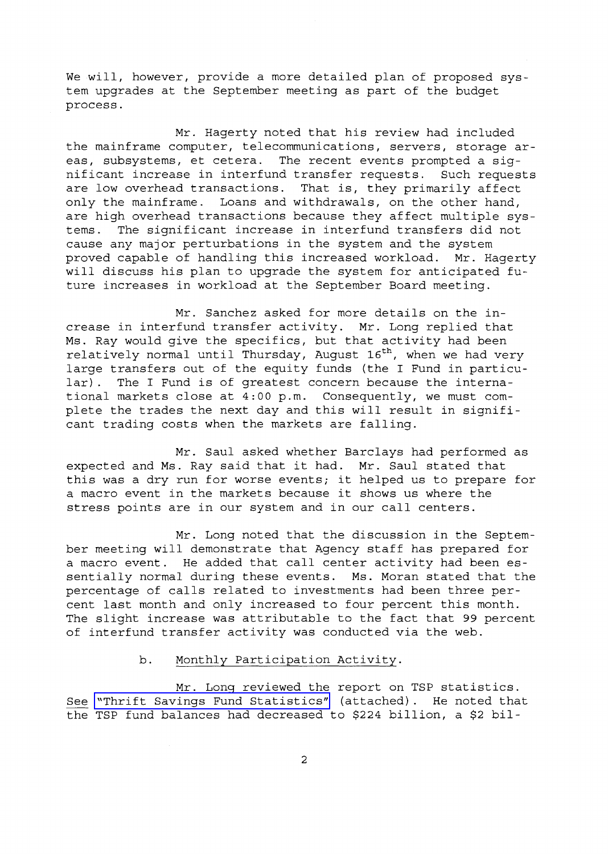We will, however, provide a more detailed plan of proposed system upgrades at the September meeting as part of the budget process.

Mr. Hagerty noted that his review had included the mainframe computer, telecommunications, servers, storage areas, subsystems, et cetera. The recent events prompted <sup>a</sup> significant increase in interfund transfer requests. Such requests<br>are low overhead transactions. That is, they primarily affect are low overhead transactions. only the mainframe. Loans and withdrawals, on the other hand, are high overhead transactions because they affect multiple systems. The significant increase in interfund transfers did not cause any major perturbations in the system and the system proved capable of handling this increased workload. Mr. Hagerty will discuss his plan to upgrade the system for anticipated future increases in workload at the September Board meeting.

Mr. Sanchez asked for more details on the increase in interfund transfer activity. Mr. Long replied that Ms. Ray would give the specifics, but that activity had been relatively normal until Thursday, August  $16<sup>th</sup>$ , when we had very large transfers out of the equity funds (the I Fund in particular). The <sup>I</sup> Fund is of greatest concern because the international markets close at 4:00 p.m. Consequently, we must complete the trades the next day and this will result in significant trading costs when the markets are falling.

Mr. Saul asked whether Barclays had performed as expected and Ms. Ray said that it had. Mr. Saul stated that this was <sup>a</sup> dry run for worse events; it helped us to prepare for <sup>a</sup> macro event in the markets because it shows us where the stress points are in our system and in our call centers.

Mr. Long noted that the discussion in the September meeting will demonstrate that Agency staff has prepared for <sup>a</sup> macro event. He added that call center activity had been essentially normal during these events. Ms. Moran stated that the percentage of calls related to investments had been three percent last month and only increased to four percent this month. The slight increase was attributable to the fact that 99 percent of interfund transfer activity was conducted via the web.

## b. Monthly Participation Activity.

Mr. Long reviewed the report on TSP statistics. See "Thrift Savings Fund [Statistics"](MM-2007Aug-Att1.pdf) (attached). He noted that the TSP fund balances had decreased to \$224 billion, <sup>a</sup> \$2 bil-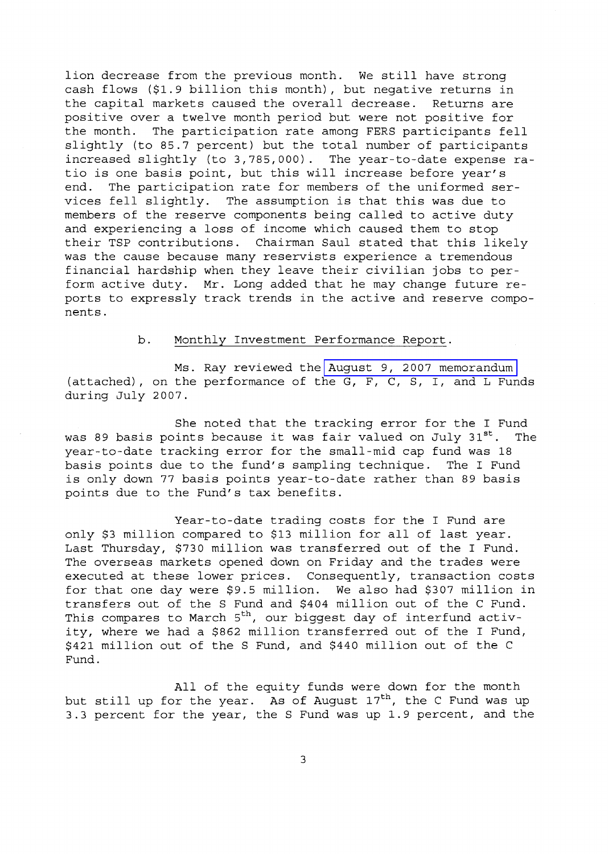lion decrease from the previous month. We still have strong cash flows (\$1.9 billion this month), but negative returns in the capital markets caused the overall decrease. Returns are positive over a twelve month period but were not positive for the month. The participation rate among FER8 participants fell slightly (to 85.7 percent) but the total number of participants increased slightly (to 3,785,000). The year-to-date expense ratio is one basis point, but this will increase before year's end. The participation rate for members of the uniformed services fell slightly. The assumption is that this was due to members of the reserve components being called to active duty and experiencing a loss of income which caused them to stop their T8P contributions. Chairman 8aul stated that this likely was the cause because many reservists experience <sup>a</sup> tremendous financial hardship when they leave their civilian jobs to perform active duty. Mr. Long added that he may change future reports to expressly track trends in the active and reserve components.

## b. Monthly Investment Performance Report.

Ms. Ray reviewed the August 9, 2007 [memorandum](MM-2007Aug-Att2.pdf) (attached), on the performance of the G, F, C, 8, I, and L Funds during July 2007.

She noted that the tracking error for the I Fund was 89 basis points because it was fair valued on July  $31^{st}$ . The year-to-date tracking error for the small-mid cap fund was 18 basis points due to the fund's sampling technique. The I Fund is only down <sup>77</sup> basis points year-to-date rather than <sup>89</sup> basis points due to the Fund's tax benefits.

Year-to-date trading costs for the I Fund are only \$3 million compared to \$13 million for all of last year. Last Thursday, \$730 million was transferred out of the I Fund. The overseas markets opened down on Friday and the trades were executed at these lower prices. Consequently, transaction costs for that one day were \$9.5 million. We also had \$307 million in transfers out of the 8 Fund and \$404 million out of the C Fund. This compares to March 5<sup>th</sup>, our biggest day of interfund activity, where we had <sup>a</sup> \$862 million transferred out of the <sup>I</sup> Fund, \$421 million out of the 8 Fund, and \$440 million out of the C Fund.

All of the equity funds were down for the month but still up for the year. As of August  $17<sup>th</sup>$ , the C Fund was up 3.3 percent for the year, the 8 Fund was up 1.9 percent, and the

3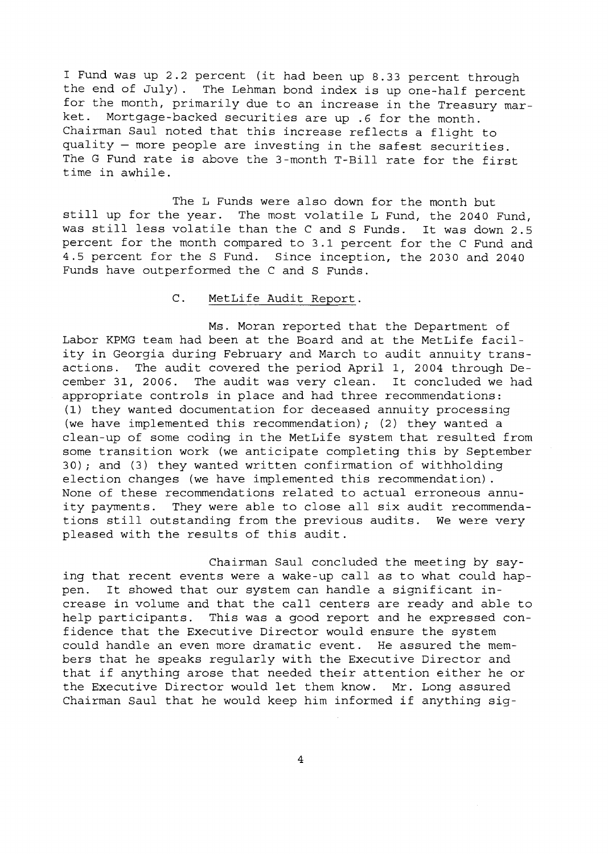<sup>I</sup> Fund was up 2.2 percent (it had been up 8.33 percent through the end of July). The Lehman bond index is up one-half percent for the month, primarily due to an increase in the Treasury mar-<br>ket. Mortgage-backed securities are up 6 for the month Mortgage-backed securities are up .6 for the month. Chairman Saul noted that this increase reflects <sup>a</sup> flight to quality - more people are investing in the safest securities. The <sup>G</sup> Fund rate is above the 3-month T-Bill rate for the first time in awhile.

The L Funds were also down for the month but still up for the year. The most volatile <sup>L</sup> Fund, the <sup>2040</sup> Fund, was still less volatile than the <sup>C</sup> and <sup>S</sup> Funds. It was down 2.5 percent for the month compared to 3.1 percent for the C Fund and 4.5 percent for the S Fund. Since inception, the 2030 and 2040 Funds have outperformed the C and S Funds.

## C. MetLife Audit Report.

Ms. Moran reported that the Department of Labor KPMG team had been at the Board and at the MetLife facility in Georgia during February and March to audit annuity transactions. The audit covered the period April I, 2004 through De-The audit was very clean. It concluded we had appropriate controls in place and had three recommendations: (1) they wanted documentation for deceased annuity processing (we have implemented this recommendation) *<sup>i</sup>* (2) they wanted <sup>a</sup> clean-up of some coding in the MetLife system that resulted from some transition work (we anticipate completing this by September 30) *<sup>i</sup>* and (3) they wanted written confirmation of withholding election changes (we have implemented this recommendation) . None of these recommendations related to actual erroneous annuity payments. They were able to close all six audit recommendations still outstanding from the previous audits. We were very pleased with the results of this audit.

Chairman Saul concluded the meeting by saying that recent events were <sup>a</sup> wake-up call as to what could happen. It showed that our system can handle <sup>a</sup> significant increase in volume and that the call centers are ready and able to help participants. This was a good report and he expressed confidence that the Executive Director would ensure the system could handle an even more dramatic event. He assured the members that he speaks regularly with the Executive Director and that if anything arose that needed their attention either he or the Executive Director would let them know. Mr. Long assured Chairman Saul that he would keep him informed if anything sig